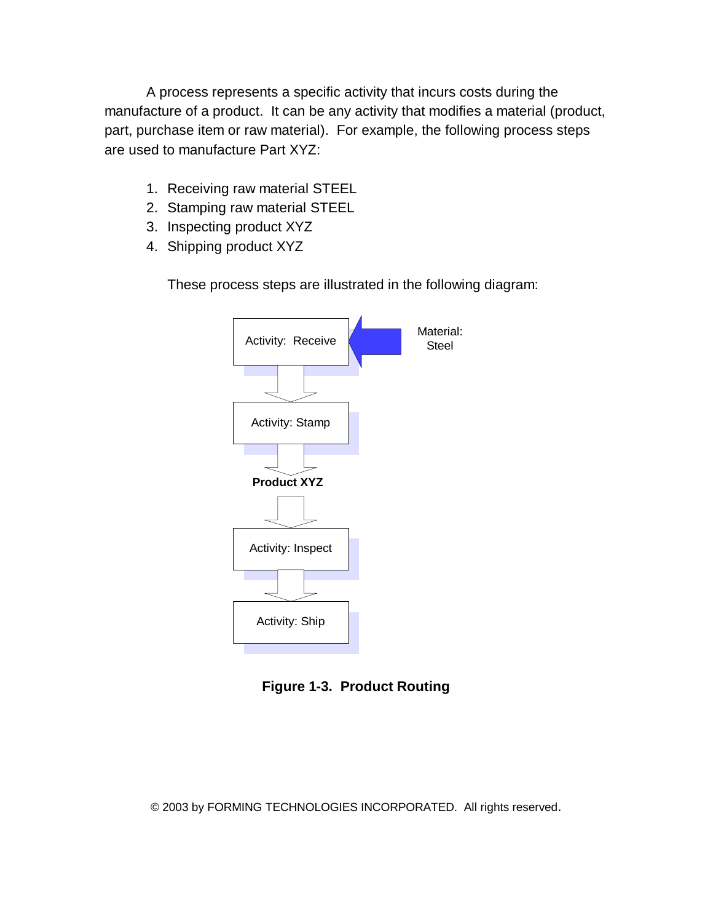A process represents a specific activity that incurs costs during the manufacture of a product. It can be any activity that modifies a material (product, part, purchase item or raw material). For example, the following process steps are used to manufacture Part XYZ:

- 1. Receiving raw material STEEL
- 2. Stamping raw material STEEL
- 3. Inspecting product XYZ
- 4. Shipping product XYZ

These process steps are illustrated in the following diagram:



**Figure 1-3. Product Routing**

© 2003 by FORMING TECHNOLOGIES INCORPORATED. All rights reserved.